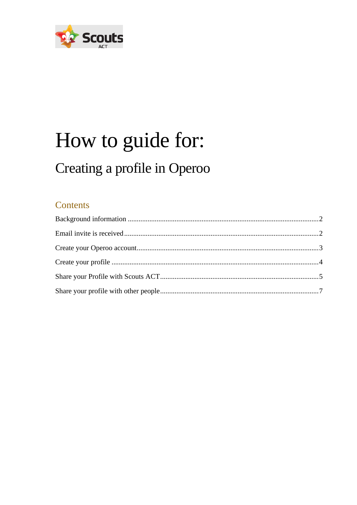

# How to guide for: Creating a profile in Operoo

#### Contents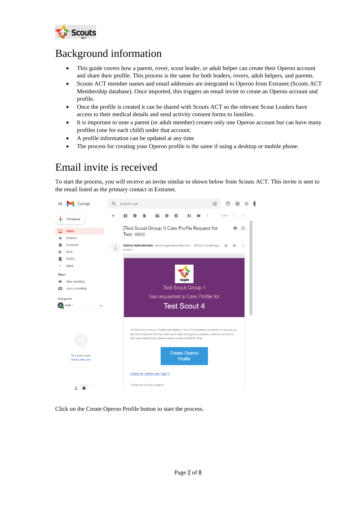

#### <span id="page-1-0"></span>Background information

- This guide covers how a parent, rover, scout leader, or adult helper can create their Operoo account and share their profile. This process is the same for both leaders, rovers, adult helpers, and parents.
- Scouts ACT member names and email addresses are integrated to Operoo from Extranet (Scouts ACT Membership database). Once imported, this triggers an email invite to create an Operoo account and profile.
- Once the profile is created it can be shared with Scouts ACT so the relevant Scout Leaders have access to their medical details and send activity consent forms to families.
- It is important to note a parent (or adult member) creates only one Operoo account but can have many profiles (one for each child) under that account.
- A profile information can be updated at any time
- The process for creating your Operoo profile is the same if using a desktop or mobile phone.

## <span id="page-1-1"></span>Email invite is received

To start the process, you will receive an invite similar to shown below from Scouts ACT. This invite is sent to the email listed as the primary contact in Extranet.



Click on the Create Operoo Profile button to start the process.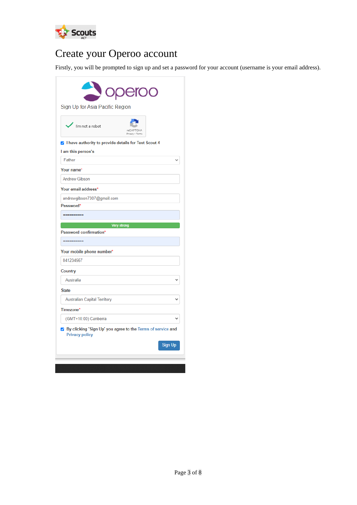

# <span id="page-2-0"></span>Create your Operoo account

Firstly, you will be prompted to sign up and set a password for your account (username is your email address).

| reCAPTCHA<br>Privacy - Terms<br>I have authority to provide details for Test Scout 4 |
|--------------------------------------------------------------------------------------|
|                                                                                      |
|                                                                                      |
|                                                                                      |
|                                                                                      |
|                                                                                      |
|                                                                                      |
|                                                                                      |
|                                                                                      |
|                                                                                      |
|                                                                                      |
|                                                                                      |
|                                                                                      |
|                                                                                      |
|                                                                                      |
|                                                                                      |
|                                                                                      |
|                                                                                      |
|                                                                                      |
|                                                                                      |
|                                                                                      |
|                                                                                      |
|                                                                                      |
| ☑ By clicking 'Sign Up' you agree to the Terms of service and                        |
| Sign Up                                                                              |
|                                                                                      |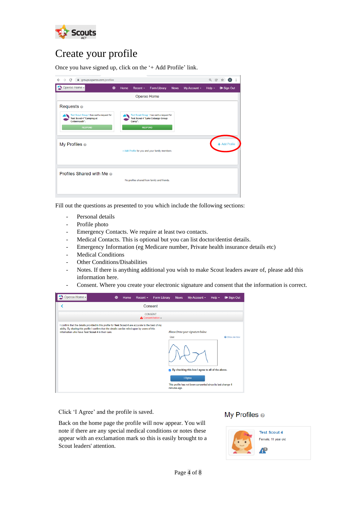

### <span id="page-3-0"></span>Create your profile

Once you have signed up, click on the '+ Add Profile' link.

| $\rightarrow$ C<br>groups.operoo.com/profiles<br>$\leftarrow$                                                   |             |      |            |                                                                                                 |             |              | Q<br>$\circledR$ | $\boxed{A}$<br>☆ |
|-----------------------------------------------------------------------------------------------------------------|-------------|------|------------|-------------------------------------------------------------------------------------------------|-------------|--------------|------------------|------------------|
| Operoo Home -                                                                                                   | $\bigoplus$ | Home | $Recent -$ | <b>Form Library</b>                                                                             | <b>News</b> | My Account - | Help $\sim$      | G Sign Out       |
|                                                                                                                 |             |      |            | Operoo Home                                                                                     |             |              |                  |                  |
| Requests <sup>®</sup>                                                                                           |             |      |            |                                                                                                 |             |              |                  |                  |
| Test Scout Group 1 has sent a request for<br><b>Test Scout 4 "Camping at</b><br>Cottermouth".<br><b>RESPOND</b> |             |      | Camp".     | Test Scout Group 1 has sent a request for<br>Test Scout 4 "Lake Cobargo Group<br><b>RESPOND</b> |             |              |                  |                  |
| My Profiles $\circ$                                                                                             |             |      |            | + Add Profile for you and your family members.                                                  |             |              |                  | + Add Profile    |
| <b>Profiles Shared with Me @</b>                                                                                |             |      |            | No profiles shared from family and friends.                                                     |             |              |                  |                  |

Fill out the questions as presented to you which include the following sections:

- Personal details
- Profile photo
- Emergency Contacts. We require at least two contacts.
- Medical Contacts. This is optional but you can list doctor/dentist details.
- Emergency Information (eg Medicare number, Private health insurance details etc)
- Medical Conditions
- Other Conditions/Disabilities
- Notes. If there is anything additional you wish to make Scout leaders aware of, please add this information here.
- Consent. Where you create your electronic signature and consent that the information is correct.

| Operoo Home -                                                                                                                                                                                                                                             | Home<br>⊕                           | Recent - | Form Library             | <b>News</b>           | My Account -                                                                                                                                                           | Help $\sim$ | G Sign Out           |  |  |  |
|-----------------------------------------------------------------------------------------------------------------------------------------------------------------------------------------------------------------------------------------------------------|-------------------------------------|----------|--------------------------|-----------------------|------------------------------------------------------------------------------------------------------------------------------------------------------------------------|-------------|----------------------|--|--|--|
|                                                                                                                                                                                                                                                           |                                     |          | Consent                  |                       |                                                                                                                                                                        |             |                      |  |  |  |
|                                                                                                                                                                                                                                                           | <b>CONSENT</b><br>A Consent below - |          |                          |                       |                                                                                                                                                                        |             |                      |  |  |  |
| I confirm that the details provided in this profile for Test Scout 4 are accurate to the best of my<br>ability. By sharing this profile I confirm that the details can be relied upon by users of this<br>information who have Test Scout 4 in their care |                                     |          | $\overline{\mathcal{L}}$ | Clear<br>minutes ago. | Please Draw your signature below<br>By checking this box I agree to all of the above.<br><b>I</b> Agree<br>This profile has not been consented since its last change 4 |             | <b>@</b> Show me how |  |  |  |

Click 'I Agree' and the profile is saved.

#### My Profiles <sup>®</sup>

Back on the home page the profile will now appear. You will note if there are any special medical conditions or notes these appear with an exclamation mark so this is easily brought to a Scout leaders' attention.

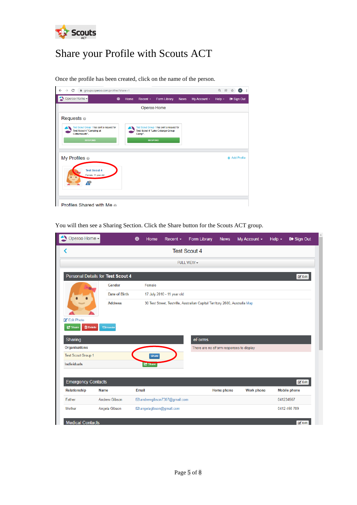

# <span id="page-4-0"></span>Share your Profile with Scouts ACT

Once the profile has been created, click on the name of the person.

| C<br>$\rightarrow$<br>■ groups.operoo.com/profiles?share=1<br>$\leftarrow$                                      |   |      |                          |                                                                               |             |              | $Q$ $B$     | ÷             |
|-----------------------------------------------------------------------------------------------------------------|---|------|--------------------------|-------------------------------------------------------------------------------|-------------|--------------|-------------|---------------|
| Operoo Home -                                                                                                   | ⊕ | Home | Recent -                 | Form Library                                                                  | <b>News</b> | My Account - | Help $\sim$ | G Sign Out    |
|                                                                                                                 |   |      | Operoo Home              |                                                                               |             |              |             |               |
| Requests $\odot$                                                                                                |   |      |                          |                                                                               |             |              |             |               |
| Test Scout Group 1 has sent a request for<br><b>Test Scout 4 "Camping at</b><br>Cottermouth".<br><b>RESPOND</b> |   |      | Camp".<br><b>RESPOND</b> | Test Scout Group 1 has sent a request for<br>Test Scout 4 "Lake Cobargo Group |             |              |             |               |
| My Profiles <sup>®</sup><br><b>Test Scout 4</b>                                                                 |   |      |                          |                                                                               |             |              |             | + Add Profile |
| Female, 11 year old<br>Æ                                                                                        |   |      |                          |                                                                               |             |              |             |               |
| <b>Profiles Shared with Me @</b>                                                                                |   |      |                          |                                                                               |             |              |             |               |

You will then see a Sharing Section. Click the Share button for the Scouts ACT group.

| <b>Test Scout 4</b><br>∢<br>FULL VIEW -<br>Personal Details for Test Scout 4<br>$\mathbb{Z}^{\bullet}$ Edit<br>Gender<br>Female<br>Date of Birth<br>17 July 2010 - 11 year old<br><b>Address</b><br>30 Test Street, Testville, Australian Capital Territory 2600, Australia Map<br>Edit Photo<br><b>面</b> Delete<br><b>C</b> Share<br><b>taTransfer</b><br>Sharing<br>eForms<br>Organisations<br>There are no eForm responses to display<br><b>Test Scout Group 1</b><br>Share<br><b>Individuals</b><br><b>C</b> Share<br><b>Emergency Contacts</b><br>$\mathbb{Z}$ Edit<br>Email<br>Relationship<br><b>Name</b><br>Home phone<br><b>Work phone</b><br><b>Mobile phone</b><br>Father<br><b>Andrew Gibson</b><br>⊡ andrewgibson7307@gmail.com<br>041234567<br>Angela Gibson<br>⊠ angelagibson@gmail.com<br>0412 456 789<br><b>Mother</b> | <b>Medical Contacts</b> | Operoo Home - | ⊕ | <b>Home</b> | Recent - | Form Library | <b>News</b> | My Account $\sim$ | Help $\sim$ | G Sign Out |
|-----------------------------------------------------------------------------------------------------------------------------------------------------------------------------------------------------------------------------------------------------------------------------------------------------------------------------------------------------------------------------------------------------------------------------------------------------------------------------------------------------------------------------------------------------------------------------------------------------------------------------------------------------------------------------------------------------------------------------------------------------------------------------------------------------------------------------------------|-------------------------|---------------|---|-------------|----------|--------------|-------------|-------------------|-------------|------------|
|                                                                                                                                                                                                                                                                                                                                                                                                                                                                                                                                                                                                                                                                                                                                                                                                                                         |                         |               |   |             |          |              |             |                   |             |            |
|                                                                                                                                                                                                                                                                                                                                                                                                                                                                                                                                                                                                                                                                                                                                                                                                                                         |                         |               |   |             |          |              |             |                   |             |            |
|                                                                                                                                                                                                                                                                                                                                                                                                                                                                                                                                                                                                                                                                                                                                                                                                                                         |                         |               |   |             |          |              |             |                   |             |            |
|                                                                                                                                                                                                                                                                                                                                                                                                                                                                                                                                                                                                                                                                                                                                                                                                                                         |                         |               |   |             |          |              |             |                   |             |            |
|                                                                                                                                                                                                                                                                                                                                                                                                                                                                                                                                                                                                                                                                                                                                                                                                                                         |                         |               |   |             |          |              |             |                   |             |            |
|                                                                                                                                                                                                                                                                                                                                                                                                                                                                                                                                                                                                                                                                                                                                                                                                                                         |                         |               |   |             |          |              |             |                   |             |            |
|                                                                                                                                                                                                                                                                                                                                                                                                                                                                                                                                                                                                                                                                                                                                                                                                                                         |                         |               |   |             |          |              |             |                   |             |            |
|                                                                                                                                                                                                                                                                                                                                                                                                                                                                                                                                                                                                                                                                                                                                                                                                                                         |                         |               |   |             |          |              |             |                   |             |            |
|                                                                                                                                                                                                                                                                                                                                                                                                                                                                                                                                                                                                                                                                                                                                                                                                                                         |                         |               |   |             |          |              |             |                   |             |            |
|                                                                                                                                                                                                                                                                                                                                                                                                                                                                                                                                                                                                                                                                                                                                                                                                                                         |                         |               |   |             |          |              |             |                   |             |            |
|                                                                                                                                                                                                                                                                                                                                                                                                                                                                                                                                                                                                                                                                                                                                                                                                                                         |                         |               |   |             |          |              |             |                   |             |            |
|                                                                                                                                                                                                                                                                                                                                                                                                                                                                                                                                                                                                                                                                                                                                                                                                                                         |                         |               |   |             |          |              |             |                   |             |            |
|                                                                                                                                                                                                                                                                                                                                                                                                                                                                                                                                                                                                                                                                                                                                                                                                                                         |                         |               |   |             |          |              |             |                   |             |            |
|                                                                                                                                                                                                                                                                                                                                                                                                                                                                                                                                                                                                                                                                                                                                                                                                                                         |                         |               |   |             |          |              |             |                   |             |            |
|                                                                                                                                                                                                                                                                                                                                                                                                                                                                                                                                                                                                                                                                                                                                                                                                                                         |                         |               |   |             |          |              |             |                   |             |            |
|                                                                                                                                                                                                                                                                                                                                                                                                                                                                                                                                                                                                                                                                                                                                                                                                                                         |                         |               |   |             |          |              |             |                   |             |            |
|                                                                                                                                                                                                                                                                                                                                                                                                                                                                                                                                                                                                                                                                                                                                                                                                                                         |                         |               |   |             |          |              |             |                   |             |            |
|                                                                                                                                                                                                                                                                                                                                                                                                                                                                                                                                                                                                                                                                                                                                                                                                                                         |                         |               |   |             |          |              |             |                   |             |            |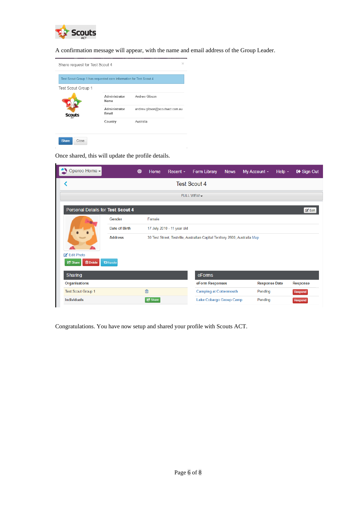

A confirmation message will appear, with the name and email address of the Group Leader.

| Share request for Test Scout 4                                     |                        | $\times$                       |
|--------------------------------------------------------------------|------------------------|--------------------------------|
| Test Scout Group 1 has requested care information for Test Scout 4 |                        |                                |
| Test Scout Group 1                                                 |                        |                                |
|                                                                    | Administrator<br>Name  | Andrew Gibson                  |
| <b>Scouts</b>                                                      | Administrator<br>Email | andrew.gibson@scoutsact.com.au |
|                                                                    | Country                | Australia                      |
| <b>Share</b><br>Close                                              |                        |                                |

Once shared, this will update the profile details.

| Operoo Home -                                   |                   | ⊕ | Home                                                                        | Recent $\sim$              | Form Library                  | <b>News</b> | My Account $\sim$    | Help $\sim$ | G Sign Out                  |
|-------------------------------------------------|-------------------|---|-----------------------------------------------------------------------------|----------------------------|-------------------------------|-------------|----------------------|-------------|-----------------------------|
|                                                 |                   |   |                                                                             |                            | <b>Test Scout 4</b>           |             |                      |             |                             |
|                                                 |                   |   |                                                                             |                            | FULL VIEW -                   |             |                      |             |                             |
| Personal Details for Test Scout 4               |                   |   |                                                                             |                            |                               |             |                      |             | $\mathbb{Z}^{\bullet}$ Edit |
|                                                 | Gender            |   | Female                                                                      |                            |                               |             |                      |             |                             |
|                                                 | Date of Birth     |   |                                                                             | 17 July 2010 - 11 year old |                               |             |                      |             |                             |
|                                                 | <b>Address</b>    |   | 30 Test Street, Testville, Australian Capital Territory 2600, Australia Map |                            |                               |             |                      |             |                             |
| Edit Photo<br><b>m</b> Delete<br><b>C</b> Share | <b>taTransfer</b> |   |                                                                             |                            |                               |             |                      |             |                             |
| Sharing                                         |                   |   |                                                                             |                            | eForms                        |             |                      |             |                             |
| Organisations                                   |                   |   |                                                                             |                            | eForm Responses               |             | <b>Response Date</b> |             | <b>Response</b>             |
| <b>Test Scout Group 1</b>                       |                   |   | 血                                                                           |                            | <b>Camping at Cottermouth</b> |             | Pending              |             | Respond                     |
| <b>Individuals</b>                              |                   |   | <b>C</b> Share                                                              |                            | Lake Cobargo Group Camp       |             | Pending              |             | Respond                     |

Congratulations. You have now setup and shared your profile with Scouts ACT.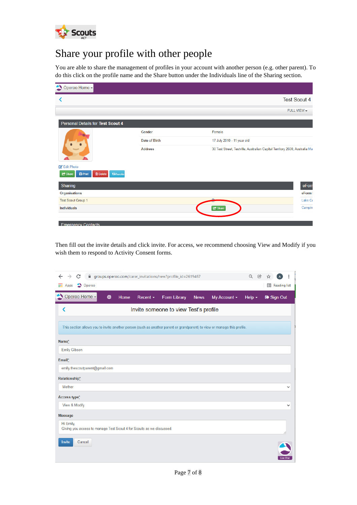

# <span id="page-6-0"></span>Share your profile with other people

You are able to share the management of profiles in your account with another person (e.g. other parent). To do this click on the profile name and the Share button under the Individuals line of the Sharing section.

| Operoo Home -                                                                |                |                                                                            |
|------------------------------------------------------------------------------|----------------|----------------------------------------------------------------------------|
|                                                                              |                | <b>Test Scout 4</b>                                                        |
|                                                                              |                | FULL VIEW -                                                                |
| Personal Details for Test Scout 4                                            |                |                                                                            |
|                                                                              | Gender         | Female                                                                     |
|                                                                              | Date of Birth  | 17 July 2010 - 11 year old                                                 |
|                                                                              | <b>Address</b> | 30 Test Street, Testville, Australian Capital Territory 2600, Australia Ma |
| Edit Photo                                                                   |                |                                                                            |
| $\bigoplus$ Print<br><b>面</b> Delete<br><b>17</b> Transfer<br><b>C</b> Share |                |                                                                            |
| Sharing                                                                      |                | eForn                                                                      |
| Organisations                                                                |                | eForm I                                                                    |
| <b>Test Scout Group 1</b>                                                    |                | بدر<br>Lake Co                                                             |
| <b>Individuals</b>                                                           |                | Campin<br>G <sup>+</sup> Share                                             |
|                                                                              |                |                                                                            |
| <b>Emergency Contacts</b>                                                    |                |                                                                            |

Then fill out the invite details and click invite. For access, we recommend choosing View and Modify if you wish them to respond to Activity Consent forms.

| C<br>□ groups.operoo.com/carer_invitations/new?profile_id=2619467<br>$\rightarrow$<br>$\leftarrow$                       | $\Theta$<br>凤                                                   |
|--------------------------------------------------------------------------------------------------------------------------|-----------------------------------------------------------------|
| $\prod$ Apps<br>Operoo                                                                                                   | <b>ED</b> Reading list                                          |
| Operoo Home -<br>⊕<br>Home<br>Recent $\sim$<br>Form Library                                                              | My Account -<br><b>News</b><br><b>■ Sign Out</b><br>Help $\sim$ |
| Invite someone to view Test's profile<br>⋖                                                                               |                                                                 |
| This section allows you to invite another person (such as another parent or grandparent) to view or manage this profile. |                                                                 |
| Name*                                                                                                                    |                                                                 |
| <b>Emily Gibson</b>                                                                                                      |                                                                 |
| Email*                                                                                                                   |                                                                 |
| emily.thescoutparent@gmail.com                                                                                           |                                                                 |
| Relationship*                                                                                                            |                                                                 |
| Mother                                                                                                                   | v                                                               |
| Access type*                                                                                                             |                                                                 |
| View & Modify                                                                                                            | ٧                                                               |
| <b>Message</b>                                                                                                           |                                                                 |
| Hi Emily,<br>Giving you access to manage Test Scout 4 for Scouts as we discussed.                                        |                                                                 |
| Invite<br>Cancel                                                                                                         | ive Chat                                                        |